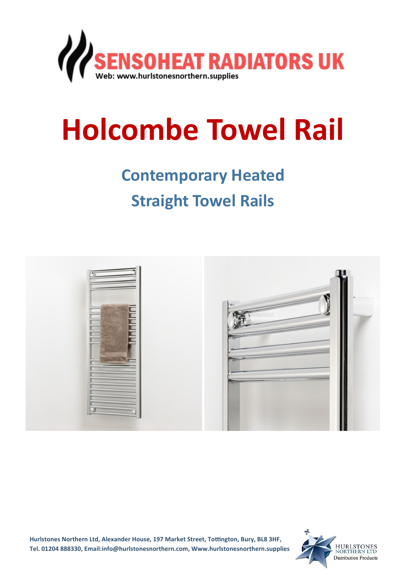

# **Holcombe Towel Rail**

## **Contemporary Heated**

### **Straight Towel Rails**



**Hurlstones Northern Ltd, Alexander House, 197 Market Street, Tottington, Bury, BL8 3HF, Tel. 01204 888330, Email:info@hurlstonesnorthern.com, Www.hurlstonesnorthern.supplies**